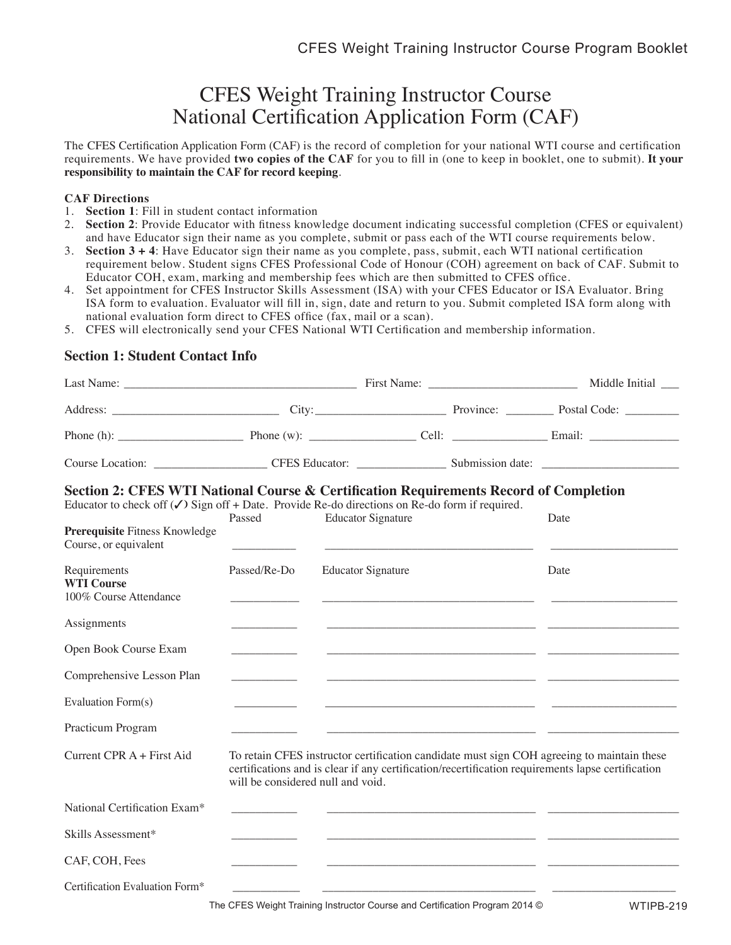# CFES Weight Training Instructor Course National Certification Application Form (CAF)

The CFES Certification Application Form (CAF) is the record of completion for your national WTI course and certification requirements. We have provided **two copies of the CAF** for you to fill in (one to keep in booklet, one to submit). **It your responsibility to maintain the CAF for record keeping**.

#### **CAF Directions**

- 1. **Section 1**: Fill in student contact information
- 2. **Section 2**: Provide Educator with fitness knowledge document indicating successful completion (CFES or equivalent) and have Educator sign their name as you complete, submit or pass each of the WTI course requirements below.
- 3. **Section 3 + 4**: Have Educator sign their name as you complete, pass, submit, each WTI national certification requirement below. Student signs CFES Professional Code of Honour (COH) agreement on back of CAF. Submit to Educator COH, exam, marking and membership fees which are then submitted to CFES office.
- 4. Set appointment for CFES Instructor Skills Assessment (ISA) with your CFES Educator or ISA Evaluator. Bring ISA form to evaluation. Evaluator will fill in, sign, date and return to you. Submit completed ISA form along with national evaluation form direct to CFES office (fax, mail or a scan).
- 5. CFES will electronically send your CFES National WTI Certification and membership information.

### **Section 1: Student Contact Info**

|                                                                                                                                                                                                                                                               |                                   |                           |  | Middle Initial __                                                                                                                                                                               |  |
|---------------------------------------------------------------------------------------------------------------------------------------------------------------------------------------------------------------------------------------------------------------|-----------------------------------|---------------------------|--|-------------------------------------------------------------------------------------------------------------------------------------------------------------------------------------------------|--|
|                                                                                                                                                                                                                                                               |                                   |                           |  |                                                                                                                                                                                                 |  |
|                                                                                                                                                                                                                                                               |                                   |                           |  |                                                                                                                                                                                                 |  |
|                                                                                                                                                                                                                                                               |                                   |                           |  |                                                                                                                                                                                                 |  |
| Section 2: CFES WTI National Course & Certification Requirements Record of Completion<br>Educator to check off $(\checkmark)$ Sign off + Date. Provide Re-do directions on Re-do form if required.<br>Prerequisite Fitness Knowledge<br>Course, or equivalent | Passed                            | <b>Educator Signature</b> |  | Date                                                                                                                                                                                            |  |
| Requirements<br><b>WTI Course</b><br>100% Course Attendance                                                                                                                                                                                                   | Passed/Re-Do                      | <b>Educator Signature</b> |  | Date                                                                                                                                                                                            |  |
| Assignments                                                                                                                                                                                                                                                   |                                   |                           |  |                                                                                                                                                                                                 |  |
| Open Book Course Exam                                                                                                                                                                                                                                         |                                   |                           |  |                                                                                                                                                                                                 |  |
| Comprehensive Lesson Plan                                                                                                                                                                                                                                     |                                   |                           |  |                                                                                                                                                                                                 |  |
| Evaluation Form(s)                                                                                                                                                                                                                                            |                                   |                           |  |                                                                                                                                                                                                 |  |
| Practicum Program                                                                                                                                                                                                                                             |                                   |                           |  |                                                                                                                                                                                                 |  |
| Current CPR A + First Aid                                                                                                                                                                                                                                     | will be considered null and void. |                           |  | To retain CFES instructor certification candidate must sign COH agreeing to maintain these<br>certifications and is clear if any certification/recertification requirements lapse certification |  |
| National Certification Exam*                                                                                                                                                                                                                                  |                                   |                           |  |                                                                                                                                                                                                 |  |
| Skills Assessment*                                                                                                                                                                                                                                            |                                   |                           |  |                                                                                                                                                                                                 |  |
| CAF, COH, Fees                                                                                                                                                                                                                                                |                                   |                           |  |                                                                                                                                                                                                 |  |
| Certification Evaluation Form*                                                                                                                                                                                                                                |                                   |                           |  |                                                                                                                                                                                                 |  |

The CFES Weight Training Instructor Course and Certification Program 2014 ©